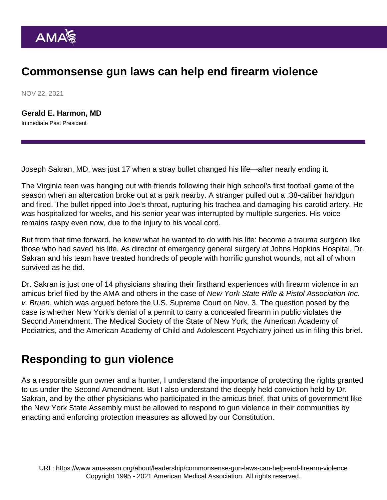## Commonsense gun laws can help end firearm violence

NOV 22, 2021

[Gerald E. Harmon, MD](https://www.ama-assn.org/about/board-trustees/gerald-e-harmon-md) Immediate Past President

Joseph Sakran, MD, was just 17 when a stray bullet changed his life—after nearly ending it.

The Virginia teen was hanging out with friends following their high school's first football game of the season when an altercation broke out at a park nearby. A stranger pulled out a .38-caliber handgun and fired. The bullet ripped into Joe's throat, rupturing his trachea and damaging his carotid artery. He was hospitalized for weeks, and his senior year was interrupted by multiple surgeries. His voice remains raspy even now, due to the injury to his vocal cord.

But from that time forward, he knew what he wanted to do with his life: become a trauma surgeon like those who had saved his life. As director of emergency general surgery at Johns Hopkins Hospital, Dr. Sakran and his team have treated hundreds of people with horrific gunshot wounds, not all of whom survived as he did.

Dr. Sakran is just one of 14 physicians sharing their firsthand experiences with firearm violence in an [amicus brief filed by the AMA](https://www.supremecourt.gov/DocketPDF/20/20-843/193279/20210921161929713_20-843 Amicus Brief.pdf) and others in the case of New York State Rifle & Pistol Association Inc. v. Bruen, which was argued before the U.S. Supreme Court on Nov. 3. The question posed by the case is whether New York's denial of a permit to carry a concealed firearm in public violates the Second Amendment. The Medical Society of the State of New York, the American Academy of Pediatrics, and the American Academy of Child and Adolescent Psychiatry joined us in filing this brief.

## Responding to gun violence

As a responsible gun owner and a hunter, I understand the importance of protecting the rights granted to us under the Second Amendment. But I also understand the deeply held conviction held by Dr. Sakran, and by the other physicians who participated in the amicus brief, that units of government like the New York State Assembly must be allowed to respond to gun violence in their communities by enacting and enforcing protection measures as allowed by our Constitution.